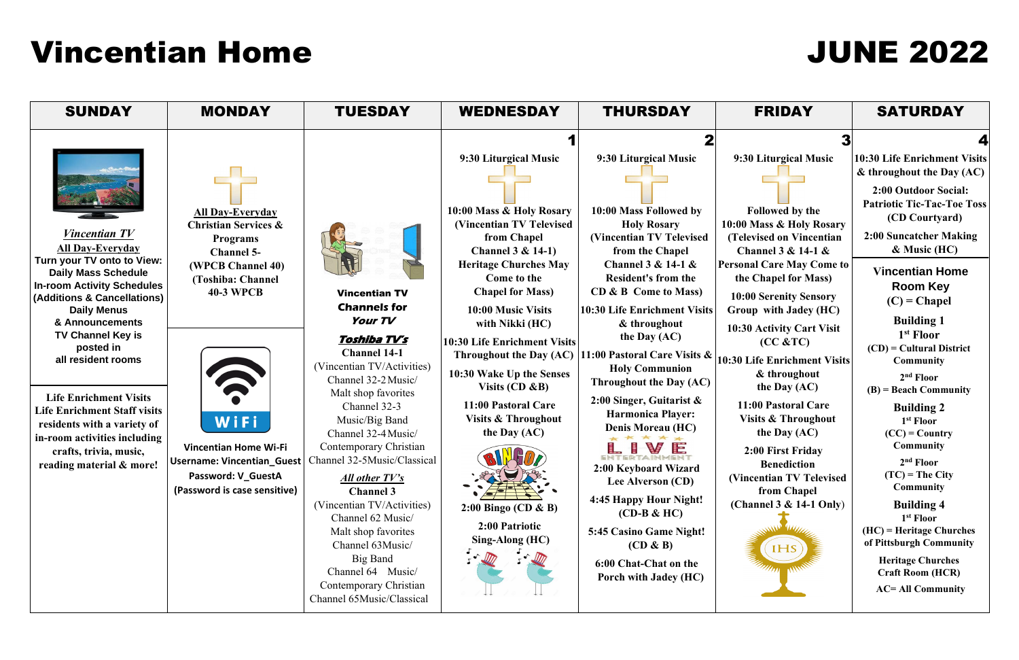# 3 **9:30 Liturgical Music**  $\mathcal{L}(\mathcal{A})$  $\overline{\phantom{a}}$ **Followed by the Mass & Holy Rosary (Televised on Vincentian Channel 3 & 14-1 & Parable May Come to the Chapel for Mass)** **10 Serenity Sensory Group with Jadey (HC) 0 Activity Cart Visit (CC &TC) 10:30 Life Enrichment Visits & throughout the Day (AC) 11:00 Pastoral Care Visits & Throughout the Day (AC) 2:00 First Friday Benediction centian TV Televised from Chapel (Channel 3 & 14-1 Only**) **IHS**

# Vincentian Home JUNE 2022

| <b>SUNDAY</b>                                                                                                                                                                                                                                                                                                                                                                                  | <b>MONDAY</b>                                                                                                                                                                                      | <b>TUESDAY</b>                                                                                                                                                                                                                                                                                                  | <b>WEDNESDAY</b>                                                                                                                                                                                                                                                                                                                                                                                                           | <b>THURSDAY</b>                                                                                                                                                                                                                                                                                                                                                                                                                                                | <b>FRIDAY</b>                                                                                                                                                                                                                                                                                                                                                                                                        | <b>SATURDAY</b>                                                                                                                                                                                                                                                                                                                                                              |
|------------------------------------------------------------------------------------------------------------------------------------------------------------------------------------------------------------------------------------------------------------------------------------------------------------------------------------------------------------------------------------------------|----------------------------------------------------------------------------------------------------------------------------------------------------------------------------------------------------|-----------------------------------------------------------------------------------------------------------------------------------------------------------------------------------------------------------------------------------------------------------------------------------------------------------------|----------------------------------------------------------------------------------------------------------------------------------------------------------------------------------------------------------------------------------------------------------------------------------------------------------------------------------------------------------------------------------------------------------------------------|----------------------------------------------------------------------------------------------------------------------------------------------------------------------------------------------------------------------------------------------------------------------------------------------------------------------------------------------------------------------------------------------------------------------------------------------------------------|----------------------------------------------------------------------------------------------------------------------------------------------------------------------------------------------------------------------------------------------------------------------------------------------------------------------------------------------------------------------------------------------------------------------|------------------------------------------------------------------------------------------------------------------------------------------------------------------------------------------------------------------------------------------------------------------------------------------------------------------------------------------------------------------------------|
| <i>Vincentian TV</i><br><b>All Day-Everyday</b><br>Turn your TV onto to View:<br><b>Daily Mass Schedule</b><br><b>In-room Activity Schedules</b><br>(Additions & Cancellations)<br><b>Daily Menus</b><br>& Announcements<br><b>TV Channel Key is</b><br>posted in<br>all resident rooms<br><b>Life Enrichment Visits</b><br><b>Life Enrichment Staff visits</b><br>residents with a variety of | <b>All Day-Everyday</b><br><b>Christian Services &amp;</b><br><b>Programs</b><br><b>Channel 5-</b><br>(WPCB Channel 40)<br>(Toshiba: Channel<br><b>40-3 WPCB</b><br>$\widehat{\mathbf{v}}$<br>WiFi | <b>Vincentian TV</b><br><b>Channels for</b><br>Your TV<br><u>Toshiba TVʻs</u><br><b>Channel 14-1</b><br>(Vincentian TV/Activities)<br>Channel 32-2 Music/<br>Malt shop favorites<br>Channel 32-3<br>Music/Big Band                                                                                              | 9:30 Liturgical Music<br>10:00 Mass & Holy Rosary<br>(Vincentian TV Televised)<br>from Chapel<br>Channel $3 & 14-1$<br><b>Heritage Churches May</b><br>Come to the<br><b>Chapel for Mass)</b><br>10:00 Music Visits<br>with Nikki (HC)<br><b>10:30 Life Enrichment Visits</b><br><b>Throughout the Day (AC)</b><br>10:30 Wake Up the Senses<br>Visits $(CD \& B)$<br>11:00 Pastoral Care<br><b>Visits &amp; Throughout</b> | 9:30 Liturgical Music<br>10:00 Mass Followed by<br><b>Holy Rosary</b><br>(Vincentian TV Televised<br>from the Chapel<br>Channel $3 & 14-1 & $<br><b>Resident's from the</b><br>CD & B Come to Mass)<br><b>10:30 Life Enrichment Visits</b><br>& throughout<br>the Day $(AC)$<br>11:00 Pastoral Care Visits &<br><b>Holy Communion</b><br><b>Throughout the Day (AC)</b><br>2:00 Singer, Guitarist $\&$<br><b>Harmonica Player:</b><br><b>Denis Moreau (HC)</b> | 9:30 Liturgical Music<br><b>Followed by the</b><br>10:00 Mass & Holy Rosary<br>(Televised on Vincentian<br>Channel $3 & 14-1 & $<br><b>Personal Care May Come to</b><br>the Chapel for Mass)<br>10:00 Serenity Sensory<br>Group with Jadey (HC)<br>10:30 Activity Cart Visit<br>(CC & TC)<br>10:30 Life Enrichment Visits<br>& throughout<br>the Day $(AC)$<br>11:00 Pastoral Care<br><b>Visits &amp; Throughout</b> | 10:30 Life Enrichment '<br>& throughout the Day (<br>2:00 Outdoor Social<br><b>Patriotic Tic-Tac-Toe</b><br>(CD Courtyard)<br>2:00 Suncatcher Mak<br>$\&$ Music (HC)<br><b>Vincentian Home</b><br><b>Room Key</b><br>$(C)$ = Chapel<br><b>Building 1</b><br>1 <sup>st</sup> Floor<br><b>Community</b><br>2 <sup>nd</sup> Floor<br><b>Building 2</b><br>1 <sup>st</sup> Floor |
| in-room activities including<br>crafts, trivia, music,<br>reading material & more!                                                                                                                                                                                                                                                                                                             | <b>Vincentian Home Wi-Fi</b><br>Username: Vincentian_Guest<br>Password: V_GuestA<br>(Password is case sensitive)                                                                                   | Channel 32-4 Music/<br>Contemporary Christian<br>Channel 32-5Music/Classical<br><u>All other TV's</u><br><b>Channel 3</b><br>(Vincentian TV/Activities)<br>Channel 62 Music/<br>Malt shop favorites<br>Channel 63Music/<br>Big Band<br>Channel 64 Music/<br>Contemporary Christian<br>Channel 65Music/Classical | the Day $(AC)$<br>2:00 Bingo (CD & B)<br>2:00 Patriotic<br>Sing-Along (HC)                                                                                                                                                                                                                                                                                                                                                 | 2:00 Keyboard Wizard<br>Lee Alverson (CD)<br>4:45 Happy Hour Night!<br>$(CD-B & HC)$<br>5:45 Casino Game Night!<br>$(CD \& B)$<br>6:00 Chat-Chat on the<br>Porch with Jadey (HC)                                                                                                                                                                                                                                                                               | the Day $(AC)$<br>2:00 First Friday<br><b>Benediction</b><br>(Vincentian TV Televised<br>from Chapel<br>(Channel $3 & 14-1$ Only)<br>IHS                                                                                                                                                                                                                                                                             | $(CD)$ = Cultural Distri<br>$(B)$ = Beach Communi<br>$(CC) = Country$<br><b>Community</b><br>$2nd$ Floor<br>$(TC)$ = The City<br><b>Community</b><br><b>Building 4</b><br>1 <sup>st</sup> Floor<br>$(HC)$ = Heritage Churcl<br>of Pittsburgh Commun<br><b>Heritage Churches</b><br><b>Craft Room (HCR)</b><br><b>AC= All Community</b>                                       |

#### 4

**10:30 Life Enrichment Visits & throughout the Day (AC)**

**2:00 Outdoor Social: Patriotic Tic-Tac-Toe Toss (CD Courtyard)**

**2:00 Suncatcher Making & Music (HC)**

**Vincentian Home Room Key (C) = Chapel**

**(CD) = Cultural District Community**

**2 nd Floor (B) = Beach Community**

**Building 4 1 st Floor (HC) = Heritage Churches of Pittsburgh Community**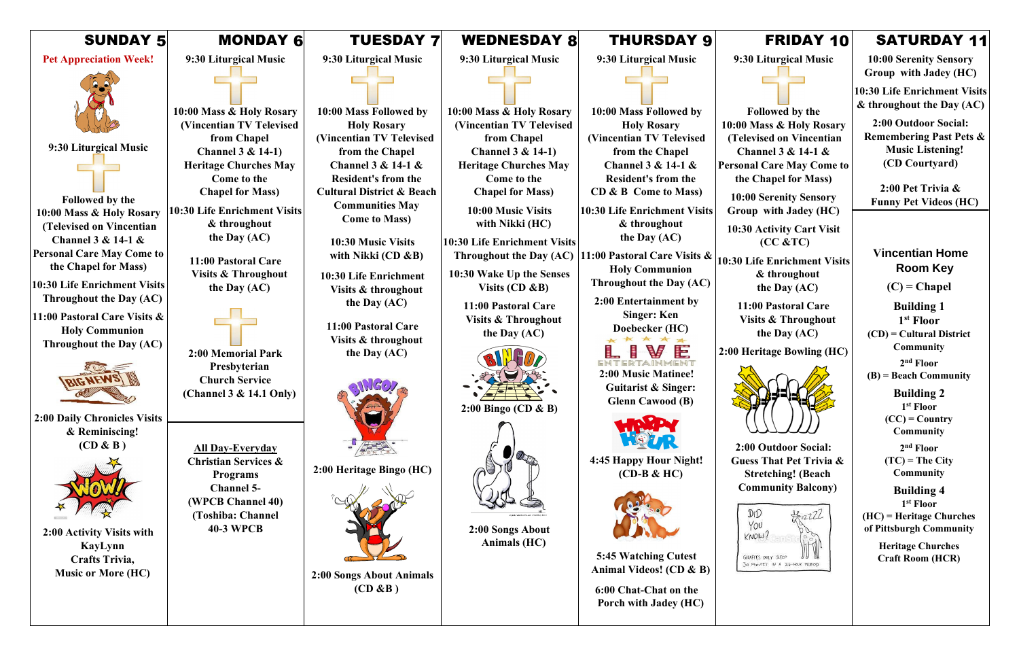| <b>SUNDAY 5</b>                                                                                                               | <b>MONDAY 6</b>                                                                                     | <b>TUESDAY 7</b>                                                                                                   | <b>WEDNESDAY 8</b>                                                                                      | <b>THURSDAY 9</b>                                                                                 |                   |
|-------------------------------------------------------------------------------------------------------------------------------|-----------------------------------------------------------------------------------------------------|--------------------------------------------------------------------------------------------------------------------|---------------------------------------------------------------------------------------------------------|---------------------------------------------------------------------------------------------------|-------------------|
| <b>Pet Appreciation Week!</b>                                                                                                 | 9:30 Liturgical Music                                                                               | 9:30 Liturgical Music                                                                                              | 9:30 Liturgical Music                                                                                   | 9:30 Liturgical Music                                                                             | $\boldsymbol{9}$  |
|                                                                                                                               |                                                                                                     |                                                                                                                    |                                                                                                         |                                                                                                   |                   |
| 9:30 Liturgical Music                                                                                                         | 10:00 Mass & Holy Rosary<br>(Vincentian TV Televised<br>from Chapel<br><b>Channel 3 &amp; 14-1)</b> | 10:00 Mass Followed by<br><b>Holy Rosary</b><br>(Vincentian TV Televised<br>from the Chapel                        | 10:00 Mass & Holy Rosary<br>(Vincentian TV Televised<br>from Chapel<br>Channel $3 & 14-1$               | 10:00 Mass Followed by<br><b>Holy Rosary</b><br>(Vincentian TV Televised<br>from the Chapel       | 10:0<br>(T)       |
| Followed by the                                                                                                               | <b>Heritage Churches May</b><br><b>Come to the</b><br><b>Chapel for Mass)</b>                       | Channel 3 & 14-1 &<br><b>Resident's from the</b><br><b>Cultural District &amp; Beach</b><br><b>Communities May</b> | <b>Heritage Churches May</b><br>Come to the<br><b>Chapel for Mass)</b>                                  | <b>Channel 3 &amp; 14-1 &amp;</b><br><b>Resident's from the</b><br>CD & B Come to Mass)           | Perso<br>tl<br>10 |
| 10:00 Mass & Holy Rosary<br>(Televised on Vincentian<br><b>Channel 3 &amp; 14-1 &amp;</b><br><b>Personal Care May Come to</b> | 10:30 Life Enrichment Visits<br>& throughout<br>the Day $(AC)$                                      | <b>Come to Mass)</b><br>10:30 Music Visits<br>with Nikki ( $CD & B$ )                                              | 10:00 Music Visits<br>with Nikki (HC)<br><b>10:30 Life Enrichment Visits</b><br>Throughout the Day (AC) | 10:30 Life Enrichment Visits<br>& throughout<br>the Day $(AC)$<br>11:00 Pastoral Care Visits &    | Gr<br>10:         |
| the Chapel for Mass)<br>10:30 Life Enrichment Visits<br>Throughout the Day (AC)                                               | 11:00 Pastoral Care<br><b>Visits &amp; Throughout</b><br>the Day (AC)                               | 10:30 Life Enrichment<br>Visits & throughout<br>the Day $(AC)$                                                     | 10:30 Wake Up the Senses<br>Visits $(CD \& B)$<br>11:00 Pastoral Care                                   | <b>Holy Communion</b><br>Throughout the Day (AC)<br>2:00 Entertainment by                         | 10:30             |
| 11:00 Pastoral Care Visits &<br><b>Holy Communion</b><br>Throughout the Day (AC)                                              | 2:00 Memorial Park                                                                                  | 11:00 Pastoral Care<br>Visits & throughout<br>the Day (AC)                                                         | <b>Visits &amp; Throughout</b><br>the Day (AC)                                                          | <b>Singer: Ken</b><br>Doebecker (HC)<br>Ē                                                         | 2:00              |
|                                                                                                                               | Presbyterian<br><b>Church Service</b><br>(Channel 3 & 14.1 Only)                                    |                                                                                                                    | $2:00$ Bingo (CD & B)                                                                                   | ENTERTAINMENT<br>2:00 Music Matinee!<br><b>Guitarist &amp; Singer:</b><br><b>Glenn Cawood (B)</b> |                   |
| <b>2:00 Daily Chronicles Visits</b><br>& Reminiscing!<br>(CD & B)                                                             | <b>All Day-Everyday</b><br><b>Christian Services &amp;</b><br><b>Programs</b><br><b>Channel 5-</b>  | 2:00 Heritage Bingo (HC)                                                                                           |                                                                                                         | 4:45 Happy Hour Night!<br>$(CD-B & HC)$                                                           | G                 |
| 2:00 Activity Visits with<br>KayLynn<br>Crafts Trivia,<br><b>Music or More (HC)</b>                                           | (WPCB Channel 40)<br>(Toshiba: Channel<br><b>40-3 WPCB</b>                                          | 2:00 Songs About Animals                                                                                           | 2:00 Songs About<br>Animals (HC)                                                                        | 5:45 Watching Cutest<br>Animal Videos! (CD & B)                                                   |                   |
|                                                                                                                               |                                                                                                     | $(CD \& B)$                                                                                                        |                                                                                                         | 6:00 Chat-Chat on the<br>Porch with Jadey (HC)                                                    |                   |

**0 Life Enrichment Visits & throughout the Day (AC)**

# FRIDAY 10

**9:30 Liturgical Music**

**Followed by the 10:00 Mass & Holy Rosary (Televised on Vincentian Channel 3 & 14-1 & Personal Care May Come to the Chapel for Mass)**

**10:00 Serenity Sensory Group with Jadey (HC)** 

**10:30 Activity Cart Visit (CC &TC)**

**11:00 Pastoral Care Visits & Throughout the Day (AC)**

**2:00 Heritage Bowling (HC)** 



**2:00 Outdoor Social: Guess That Pet Trivia & Stretching! (Beach Community Balcony)**



# SATURDAY 11

**10:00 Serenity Sensory Group with Jadey (HC)** 

**10:30 Life Enrichment Visits & throughout the Day (AC)**

**2:00 Outdoor Social: Remembering Past Pets & Music Listening! (CD Courtyard)**

**2:00 Pet Trivia & Funny Pet Videos (HC)**

#### **Vincentian Home Room Key**

**(C) = Chapel**

**Building 1 1 st Floor**

**(CD) = Cultural District Community**

**2 nd Floor**

**(B) = Beach Community**

**Building 2 1 st Floor (CC) = Country Community**

**2 nd Floor (TC) = The City Community**

**Building 4 1 st Floor (HC) = Heritage Churches of Pittsburgh Community**

> **Heritage Churches Craft Room (HCR)**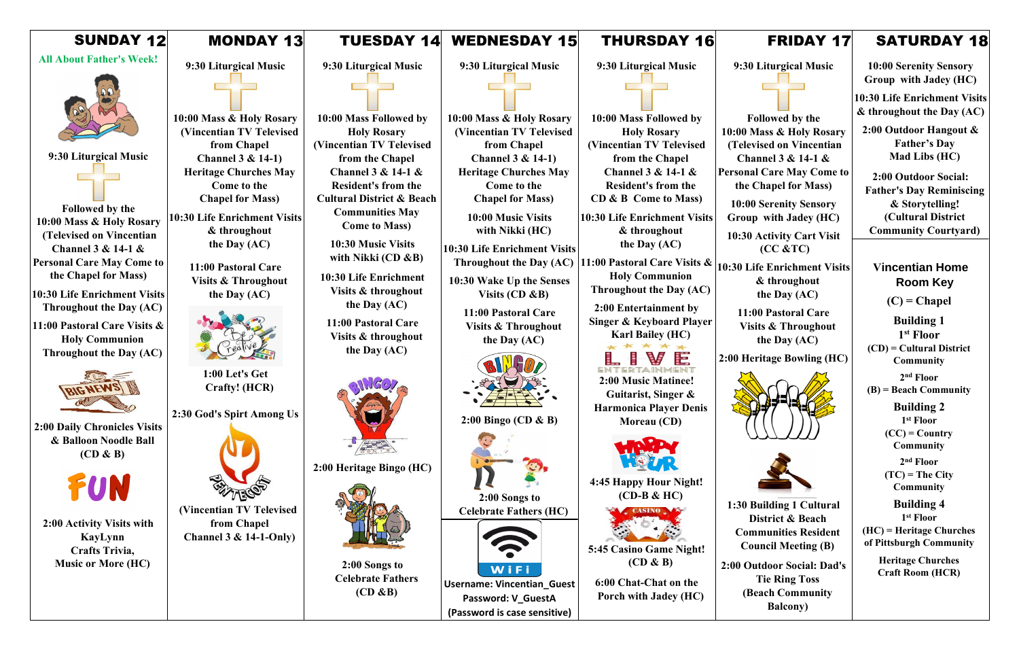| <b>SUNDAY 12</b>                                                                                                                                                                                                                                                                                                                | <b>MONDAY 13</b>                                                                                                                                                                                                                                                                                                                         | <b>TUESDAY 14</b>                                                                                                                                                                                                                                                                                                                              | <b>WEDNESDAY 15</b>                                                                                                                                                                                                                                                                                                                           | <b>THURSDAY 16</b>                                                                                                                                                                                                                                                                                                                                                           |                                                                                        |
|---------------------------------------------------------------------------------------------------------------------------------------------------------------------------------------------------------------------------------------------------------------------------------------------------------------------------------|------------------------------------------------------------------------------------------------------------------------------------------------------------------------------------------------------------------------------------------------------------------------------------------------------------------------------------------|------------------------------------------------------------------------------------------------------------------------------------------------------------------------------------------------------------------------------------------------------------------------------------------------------------------------------------------------|-----------------------------------------------------------------------------------------------------------------------------------------------------------------------------------------------------------------------------------------------------------------------------------------------------------------------------------------------|------------------------------------------------------------------------------------------------------------------------------------------------------------------------------------------------------------------------------------------------------------------------------------------------------------------------------------------------------------------------------|----------------------------------------------------------------------------------------|
| <b>All About Father's Week!</b><br>9:30 Liturgical Music<br><b>Followed by the</b><br>10:00 Mass & Holy Rosary<br>(Televised on Vincentian<br>Channel $3 & 14-1 & 8$<br><b>Personal Care May Come to</b><br>the Chapel for Mass)                                                                                                | 9:30 Liturgical Music<br>10:00 Mass & Holy Rosary<br>(Vincentian TV Televised<br>from Chapel<br><b>Channel 3 &amp; 14-1)</b><br><b>Heritage Churches May</b><br><b>Come to the</b><br><b>Chapel for Mass)</b><br>10:30 Life Enrichment Visits<br>& throughout<br>the Day $(AC)$<br>11:00 Pastoral Care<br><b>Visits &amp; Throughout</b> | 9:30 Liturgical Music<br>10:00 Mass Followed by<br><b>Holy Rosary</b><br>(Vincentian TV Televised<br>from the Chapel<br>Channel $3 & 14-1 & $<br><b>Resident's from the</b><br><b>Cultural District &amp; Beach</b><br><b>Communities May</b><br><b>Come to Mass)</b><br>10:30 Music Visits<br>with Nikki $(CD \& B)$<br>10:30 Life Enrichment | 9:30 Liturgical Music<br>10:00 Mass & Holy Rosary<br>(Vincentian TV Televised<br>from Chapel<br><b>Channel 3 &amp; 14-1)</b><br><b>Heritage Churches May</b><br>Come to the<br><b>Chapel for Mass)</b><br>10:00 Music Visits<br>with Nikki (HC)<br><b>10:30 Life Enrichment Visits</b><br>Throughout the Day (AC)<br>10:30 Wake Up the Senses | 9:30 Liturgical Music<br>10:00 Mass Followed by<br><b>Holy Rosary</b><br>(Vincentian TV Televised<br>from the Chapel<br><b>Channel 3 &amp; 14-1 &amp;</b><br><b>Resident's from the</b><br>CD & B Come to Mass)<br>10:30 Life Enrichment Visits<br>& throughout<br>the Day $(AC)$<br>11:00 Pastoral Care Visits &<br><b>Holy Communion</b><br><b>Throughout the Day (AC)</b> | 9:3<br>10:00<br>(Tel<br>C <sub>l</sub><br>Person<br>the<br>10:<br>Gro<br>10:3<br>10:30 |
| 10:30 Life Enrichment Visits<br><b>Throughout the Day (AC)</b><br>11:00 Pastoral Care Visits &<br><b>Holy Communion</b><br>Throughout the Day (AC)<br><b>2:00 Daily Chronicles Visits</b><br>& Balloon Noodle Ball<br>$(CD \& B)$<br>FUN<br>2:00 Activity Visits with<br>KayLynn<br>Crafts Trivia,<br><b>Music or More (HC)</b> | the Day (AC)<br>1:00 Let's Get<br>Crafty! (HCR)<br>2:30 God's Spirt Among Us<br>(Vincentian TV Televised<br>from Chapel<br>Channel $3 & 14-1-Only$                                                                                                                                                                                       | Visits & throughout<br>the Day $(AC)$<br>11:00 Pastoral Care<br>Visits & throughout<br>the Day (AC)<br>2:00 Heritage Bingo (HC)<br>2:00 Songs to<br><b>Celebrate Fathers</b><br>$(CD \& B)$                                                                                                                                                    | Visits $(CD \& B)$<br>11:00 Pastoral Care<br><b>Visits &amp; Throughout</b><br>the Day (AC)<br>$2:00$ Bingo (CD & B)<br>2:00 Songs to<br><b>Celebrate Fathers (HC)</b><br>WiFi<br><b>Username: Vincentian_Guest</b><br>Password: V_GuestA<br>(Password is case sensitive)                                                                     | 2:00 Entertainment by<br><b>Singer &amp; Keyboard Player</b><br><b>Karl Bailey (HC)</b><br>疆<br>2:00 Music Matinee!<br>Guitarist, Singer &<br><b>Harmonica Player Denis</b><br>Moreau (CD)<br>4:45 Happy Hour Night!<br>$(CD-B & HC)$<br>5:45 Casino Game Night!<br>$(CD \& B)$<br>6:00 Chat-Chat on the<br>Porch with Jadey (HC)                                            | <b>11</b><br>$\bar{\mathbf{V}}$<br>2:00 F<br>1:30<br>$\bf{C}$<br>2:00 <sub>0</sub>     |

**10:50 Life Enrichment Visits & throughout the Day (AC)**

**1 Building 1 Cultural District & Beach Communities Resident Council Meeting (B)**

## FRIDAY 17

**9:30 Liturgical Music**

**Followed by the Mass & Holy Rosary (Televised on Vincentian Channel 3 & 14-1 & nal Care May Come to the Chapel for Mass)**

**10:00 Serenity Sensory Group with Jadey (HC)** 

**10:30 Activity Cart Visit (CC &TC)**

**11:00 Pastoral Care Visits & Throughout the Day (AC)**

**2:00 Heritage Bowling (HC)**





**2:00 Outdoor Social: Dad's Tie Ring Toss (Beach Community Balcony)**

# SATURDAY 18

**10:00 Serenity Sensory Group with Jadey (HC)** 

**10:30 Life Enrichment Visits & throughout the Day (AC)**

**2:00 Outdoor Hangout & Father's Day Mad Libs (HC)**

**2:00 Outdoor Social: Father's Day Reminiscing & Storytelling! (Cultural District Community Courtyard)**

#### **Vincentian Home Room Key**

**(C) = Chapel**

**Building 1 1 st Floor**

**(CD) = Cultural District Community**

**2 nd Floor (B) = Beach Community**

> **Building 2 1 st Floor (CC) = Country Community**

**2 nd Floor (TC) = The City Community**

**Building 4 1 st Floor (HC) = Heritage Churches of Pittsburgh Community**

> **Heritage Churches Craft Room (HCR)**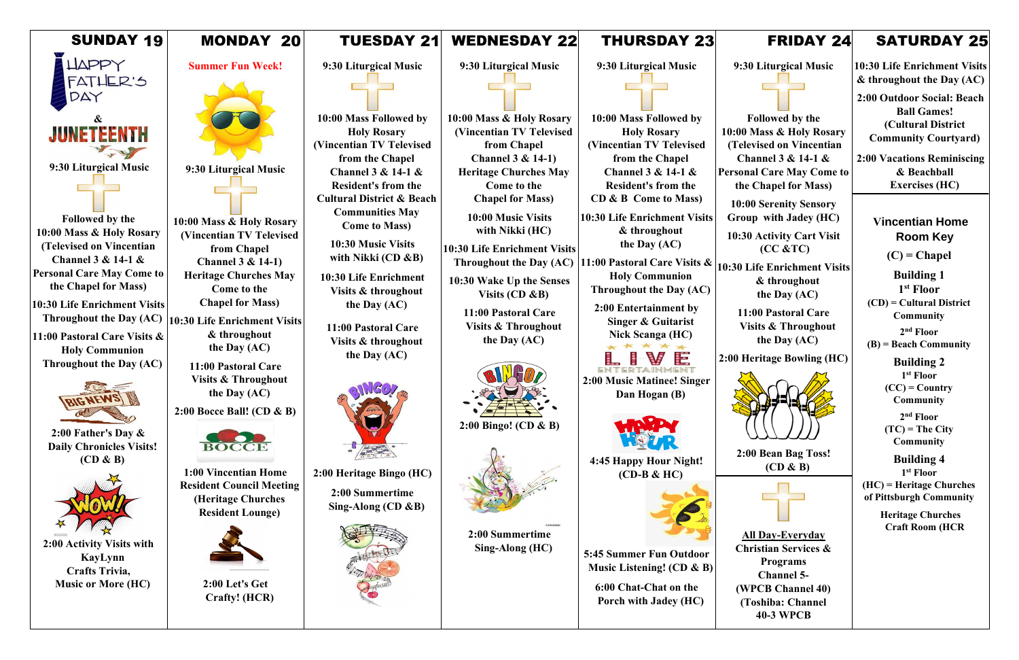| <b>SUNDAY 19</b>                                                                       | MONDAY<br><b>20</b>                                                                                      | <b>TUESDAY 21</b>                                                                        | <b>WEDNESDAY 22</b>                                                           | <b>THURSDAY 23</b>                                                                      |             |
|----------------------------------------------------------------------------------------|----------------------------------------------------------------------------------------------------------|------------------------------------------------------------------------------------------|-------------------------------------------------------------------------------|-----------------------------------------------------------------------------------------|-------------|
| <b>LIAPPY</b><br>FATHER'S                                                              | <b>Summer Fun Week!</b>                                                                                  | 9:30 Liturgical Music                                                                    | 9:30 Liturgical Music                                                         | 9:30 Liturgical Music                                                                   | 9           |
| DA<br>&                                                                                |                                                                                                          | 10:00 Mass Followed by                                                                   | 10:00 Mass & Holy Rosary                                                      | 10:00 Mass Followed by                                                                  |             |
| JUNETEENTH                                                                             |                                                                                                          | <b>Holy Rosary</b><br>(Vincentian TV Televised<br>from the Chapel                        | (Vincentian TV Televised<br>from Chapel<br>Channel $3 & 14-1$                 | <b>Holy Rosary</b><br>(Vincentian TV Televised<br>from the Chapel                       | 10:0<br>(T) |
| 9:30 Liturgical Music                                                                  | 9:30 Liturgical Music                                                                                    | Channel 3 & 14-1 &<br><b>Resident's from the</b><br><b>Cultural District &amp; Beach</b> | <b>Heritage Churches May</b><br><b>Come to the</b><br><b>Chapel for Mass)</b> | <b>Channel 3 &amp; 14-1 &amp;</b><br><b>Resident's from the</b><br>CD & B Come to Mass) | Perso<br>10 |
| Followed by the<br>10:00 Mass & Holy Rosary                                            | 10:00 Mass & Holy Rosary<br>(Vincentian TV Televised                                                     | <b>Communities May</b><br><b>Come to Mass)</b>                                           | 10:00 Music Visits<br>with Nikki (HC)                                         | <b>10:30 Life Enrichment Visits</b><br>& throughout                                     | Gr<br>10:   |
| (Televised on Vincentian<br>Channel $3 & 14-1 & 8$<br><b>Personal Care May Come to</b> | from Chapel<br><b>Channel 3 &amp; 14-1)</b><br><b>Heritage Churches May</b>                              | 10:30 Music Visits<br>with Nikki $(CD \& B)$<br>10:30 Life Enrichment                    | <b>10:30 Life Enrichment Visits</b><br>Throughout the Day (AC)                | the Day $(AC)$<br>11:00 Pastoral Care Visits $\&$<br><b>Holy Communion</b>              | 10:30       |
| the Chapel for Mass)<br>10:30 Life Enrichment Visits<br>Throughout the Day (AC)        | Come to the<br><b>Chapel for Mass)</b>                                                                   | Visits & throughout<br>the Day $(AC)$                                                    | 10:30 Wake Up the Senses<br>Visits $(CD \& B)$<br>11:00 Pastoral Care         | Throughout the Day (AC)<br>2:00 Entertainment by                                        |             |
| 11:00 Pastoral Care Visits &<br><b>Holy Communion</b>                                  | 10:30 Life Enrichment Visits<br>& throughout<br>the Day $(AC)$                                           | 11:00 Pastoral Care<br>Visits & throughout<br>the Day (AC)                               | <b>Visits &amp; Throughout</b><br>the Day $(AC)$                              | <b>Singer &amp; Guitarist</b><br><b>Nick Scanga (HC)</b>                                |             |
| Throughout the Day (AC)                                                                | 11:00 Pastoral Care<br><b>Visits &amp; Throughout</b><br>the Day $(AC)$                                  |                                                                                          |                                                                               | ENTEDTAINMENT<br>2:00 Music Matinee! Singer<br>Dan Hogan (B)                            | 2:00        |
| <b>BIGNEWS III</b>                                                                     | 2:00 Bocce Ball! (CD & B)                                                                                |                                                                                          | $2:00$ Bingo! (CD & B)                                                        |                                                                                         |             |
| 2:00 Father's Day $\&$<br><b>Daily Chronicles Visits!</b><br>$(CD \& B)$               | <b>BOCCE</b>                                                                                             |                                                                                          |                                                                               | 4:45 Happy Hour Night!                                                                  |             |
|                                                                                        | 1:00 Vincentian Home<br><b>Resident Council Meeting</b><br>(Heritage Churches<br><b>Resident Lounge)</b> | 2:00 Heritage Bingo (HC)<br>2:00 Summertime<br>Sing-Along $(CD \& B)$                    |                                                                               | $(CD-B & HC)$                                                                           |             |
| 2:00 Activity Visits with<br>KayLynn<br>Crafts Trivia,                                 |                                                                                                          |                                                                                          | 2:00 Summertime<br>Sing-Along (HC)                                            | <b>5:45 Summer Fun Outdoor</b><br>Music Listening! $(CD \& B)$                          |             |
| <b>Music or More (HC)</b>                                                              | 2:00 Let's Get<br>Crafty! (HCR)                                                                          |                                                                                          |                                                                               | 6:00 Chat-Chat on the<br>Porch with Jadey (HC)                                          |             |
|                                                                                        |                                                                                                          |                                                                                          |                                                                               |                                                                                         |             |

**0 Life Enrichment Visits & throughout the Day (AC)**

## FRIDAY 24

**9:30 Liturgical Music**

**Followed by the 10:00 Mass & Holy Rosary (Televised on Vincentian Channel 3 & 14-1 & Personal Care May Come to the Chapel for Mass)**

**10:00 Serenity Sensory Group with Jadey (HC)** 

**10:30 Activity Cart Visit (CC &TC)**

**11:00 Pastoral Care Visits & Throughout the Day (AC)**

**2.00 Heritage Bowling (HC)** 



**2:00 Bean Bag Toss! (CD & B)**



**All Day-Everyday Christian Services & Programs Channel 5- (WPCB Channel 40) (Toshiba: Channel 40-3 WPCB**

# SATURDAY 25

**10:30 Life Enrichment Visits & throughout the Day (AC)**

**2:00 Outdoor Social: Beach Ball Games! (Cultural District Community Courtyard)**

**2:00 Vacations Reminiscing & Beachball Exercises (HC)**

#### **Vincentian Home Room Key**

**(C) = Chapel**

**Building 1 1 st Floor**

**(CD) = Cultural District Community**

**2 nd Floor**

**(B) = Beach Community**

**Building 2 1 st Floor (CC) = Country Community**

**2 nd Floor (TC) = The City Community**

**Building 4 1 st Floor (HC) = Heritage Churches of Pittsburgh Community**

> **Heritage Churches Craft Room (HCR**